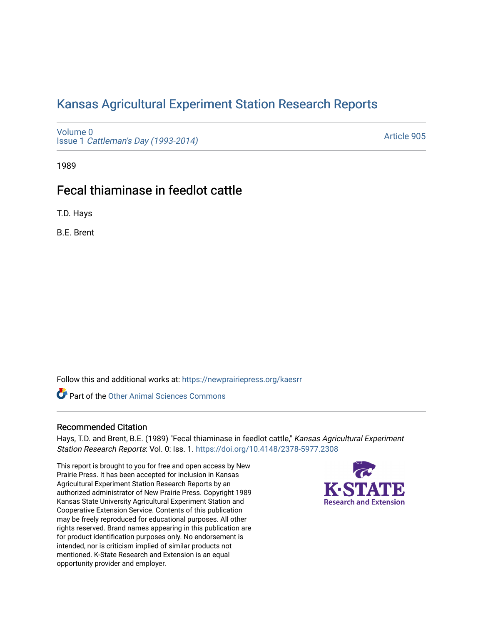# [Kansas Agricultural Experiment Station Research Reports](https://newprairiepress.org/kaesrr)

[Volume 0](https://newprairiepress.org/kaesrr/vol0) Issue 1 [Cattleman's Day \(1993-2014\)](https://newprairiepress.org/kaesrr/vol0/iss1) 

[Article 905](https://newprairiepress.org/kaesrr/vol0/iss1/905) 

1989

# Fecal thiaminase in feedlot cattle

T.D. Hays

B.E. Brent

Follow this and additional works at: [https://newprairiepress.org/kaesrr](https://newprairiepress.org/kaesrr?utm_source=newprairiepress.org%2Fkaesrr%2Fvol0%2Fiss1%2F905&utm_medium=PDF&utm_campaign=PDFCoverPages) 

Part of the [Other Animal Sciences Commons](http://network.bepress.com/hgg/discipline/82?utm_source=newprairiepress.org%2Fkaesrr%2Fvol0%2Fiss1%2F905&utm_medium=PDF&utm_campaign=PDFCoverPages)

## Recommended Citation

Hays, T.D. and Brent, B.E. (1989) "Fecal thiaminase in feedlot cattle," Kansas Agricultural Experiment Station Research Reports: Vol. 0: Iss. 1.<https://doi.org/10.4148/2378-5977.2308>

This report is brought to you for free and open access by New Prairie Press. It has been accepted for inclusion in Kansas Agricultural Experiment Station Research Reports by an authorized administrator of New Prairie Press. Copyright 1989 Kansas State University Agricultural Experiment Station and Cooperative Extension Service. Contents of this publication may be freely reproduced for educational purposes. All other rights reserved. Brand names appearing in this publication are for product identification purposes only. No endorsement is intended, nor is criticism implied of similar products not mentioned. K-State Research and Extension is an equal opportunity provider and employer.

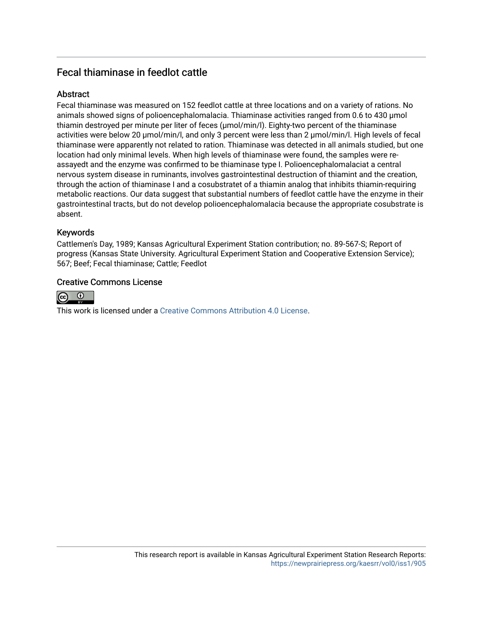## Fecal thiaminase in feedlot cattle

## **Abstract**

Fecal thiaminase was measured on 152 feedlot cattle at three locations and on a variety of rations. No animals showed signs of polioencephalomalacia. Thiaminase activities ranged from 0.6 to 430 µmol thiamin destroyed per minute per liter of feces (µmol/min/l). Eighty-two percent of the thiaminase activities were below 20 µmol/min/l, and only 3 percent were less than 2 µmol/min/l. High levels of fecal thiaminase were apparently not related to ration. Thiaminase was detected in all animals studied, but one location had only minimal levels. When high levels of thiaminase were found, the samples were reassayedt and the enzyme was confirmed to be thiaminase type I. Polioencephalomalaciat a central nervous system disease in ruminants, involves gastrointestinal destruction of thiamint and the creation, through the action of thiaminase I and a cosubstratet of a thiamin analog that inhibits thiamin-requiring metabolic reactions. Our data suggest that substantial numbers of feedlot cattle have the enzyme in their gastrointestinal tracts, but do not develop polioencephalomalacia because the appropriate cosubstrate is absent.

## Keywords

Cattlemen's Day, 1989; Kansas Agricultural Experiment Station contribution; no. 89-567-S; Report of progress (Kansas State University. Agricultural Experiment Station and Cooperative Extension Service); 567; Beef; Fecal thiaminase; Cattle; Feedlot

## Creative Commons License



This work is licensed under a [Creative Commons Attribution 4.0 License](https://creativecommons.org/licenses/by/4.0/).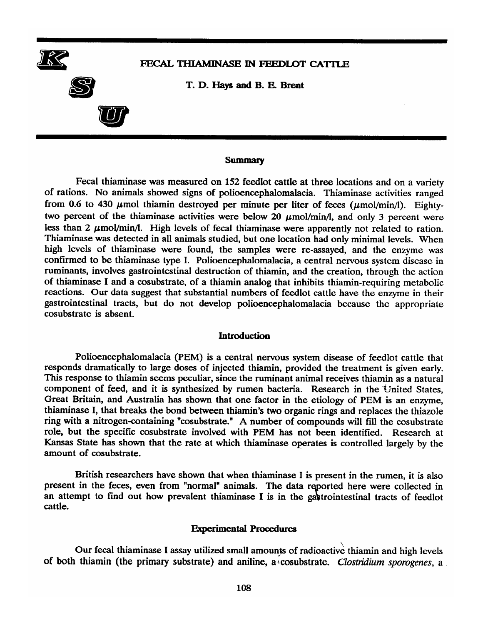

#### FECAL THIAMINASE IN FEEDLOT CATTLE

T. D. Hays and B. E. Brent

#### **Summary**

Fecal thiaminase was measured on 152 feedlot cattle at three locations and on a variety of rations. No animals showed signs of polioencephalomalacia. Thiaminase activities ranged from 0.6 to 430  $\mu$ mol thiamin destroyed per minute per liter of feces ( $\mu$ mol/min/l). Eightytwo percent of the thiaminase activities were below 20  $\mu$ mol/min/l, and only 3 percent were less than 2  $\mu$ mol/min/l. High levels of fecal thiaminase were apparently not related to ration. Thiaminase was detected in all animals studied, but one location had only minimal levels. When high levels of thiaminase were found, the samples were re-assayed, and the enzyme was confirmed to be thiaminase type I. Polioencephalomalacia, a central nervous system disease in ruminants, involves gastrointestinal destruction of thiamin, and the creation, through the action of thiaminase I and a cosubstrate, of a thiamin analog that inhibits thiamin-requiring metabolic reactions. Our data suggest that substantial numbers of feedlot cattle have the enzyme in their gastrointestinal tracts, but do not develop polioencephalomalacia because the appropriate cosubstrate is absent.

#### **Introduction**

Polioencephalomalacia (PEM) is a central nervous system disease of feedlot cattle that responds dramatically to large doses of injected thiamin, provided the treatment is given early. This response to thiamin seems peculiar, since the ruminant animal receives thiamin as a natural component of feed, and it is synthesized by rumen bacteria. Research in the United States, Great Britain, and Australia has shown that one factor in the etiology of PEM is an enzyme, thiaminase I, that breaks the bond between thiamin's two organic rings and replaces the thiazole ring with a nitrogen-containing "cosubstrate." A number of compounds will fill the cosubstrate role, but the specific cosubstrate involved with PEM has not been identified. Research at Kansas State has shown that the rate at which thiaminase operates is controlled largely by the amount of cosubstrate.

British researchers have shown that when thiaminase I is present in the rumen, it is also present in the feces, even from "normal" animals. The data reported here were collected in an attempt to find out how prevalent thiaminase I is in the gastrointestinal tracts of feedlot cattle.

#### **Experimental Procedures**

Our fecal thiaminase I assay utilized small amounts of radioactive thiamin and high levels of both thiamin (the primary substrate) and aniline, a cosubstrate. Clostridium sporogenes, a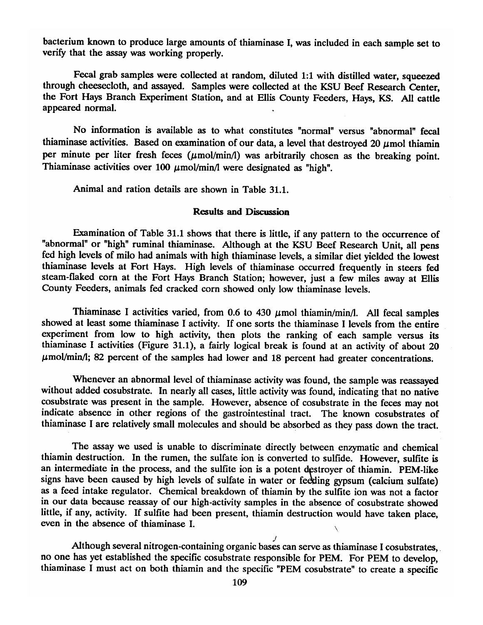bacterium known to produce large amounts of thiaminase I, was included in each sample set to verify that the assay was working properly.

Fecal grab samples were collected at random, diluted 1:1 with distilled water, squeezed through cheesecloth, and assayed. Samples were collected at the KSU Beef Research Center, the Fort Hays Branch Experiment Station, and at Ellis County Feeders, Hays, KS. All cattle appeared normal.

No information is available as to what constitutes "normal" versus "abnormal" fecal thiaminase activities. Based on examination of our data, a level that destroyed 20  $\mu$ mol thiamin per minute per liter fresh feces  $(\mu$ mol/min/l) was arbitrarily chosen as the breaking point. Thiaminase activities over 100  $\mu$ mol/min/l were designated as "high".

Animal and ration details are shown in Table 31.1.

#### **Results and Discussion**

Examination of Table 31.1 shows that there is little, if any pattern to the occurrence of "abnormal" or "high" ruminal thiaminase. Although at the KSU Beef Research Unit, all pens fed high levels of milo had animals with high thiaminase levels, a similar diet yielded the lowest thiaminase levels at Fort Hays. High levels of thiaminase occurred frequently in steers fed steam-flaked corn at the Fort Hays Branch Station; however, just a few miles away at Ellis County Feeders, animals fed cracked corn showed only low thiaminase levels.

Thiaminase I activities varied, from 0.6 to 430  $\mu$ mol thiamin/min/l. All fecal samples showed at least some thiaminase I activity. If one sorts the thiaminase I levels from the entire experiment from low to high activity, then plots the ranking of each sample versus its thiaminase I activities (Figure 31.1), a fairly logical break is found at an activity of about 20  $\mu$ mol/min/l; 82 percent of the samples had lower and 18 percent had greater concentrations.

Whenever an abnormal level of thiaminase activity was found, the sample was reassayed without added cosubstrate. In nearly all cases, little activity was found, indicating that no native cosubstrate was present in the sample. However, absence of cosubstrate in the feces may not indicate absence in other regions of the gastrointestinal tract. The known cosubstrates of thiaminase I are relatively small molecules and should be absorbed as they pass down the tract.

The assay we used is unable to discriminate directly between enzymatic and chemical thiamin destruction. In the rumen, the sulfate ion is converted to sulfide. However, sulfite is an intermediate in the process, and the sulfite ion is a potent destroyer of thiamin. PEM-like signs have been caused by high levels of sulfate in water or feeding gypsum (calcium sulfate) as a feed intake regulator. Chemical breakdown of thiamin by the sulfite ion was not a factor in our data because reassay of our high-activity samples in the absence of cosubstrate showed little, if any, activity. If sulfite had been present, thiamin destruction would have taken place, even in the absence of thiaminase I.

Although several nitrogen-containing organic bases can serve as thiaminase I cosubstrates. no one has yet established the specific cosubstrate responsible for PEM. For PEM to develop, thiaminase I must act on both thiamin and the specific "PEM cosubstrate" to create a specific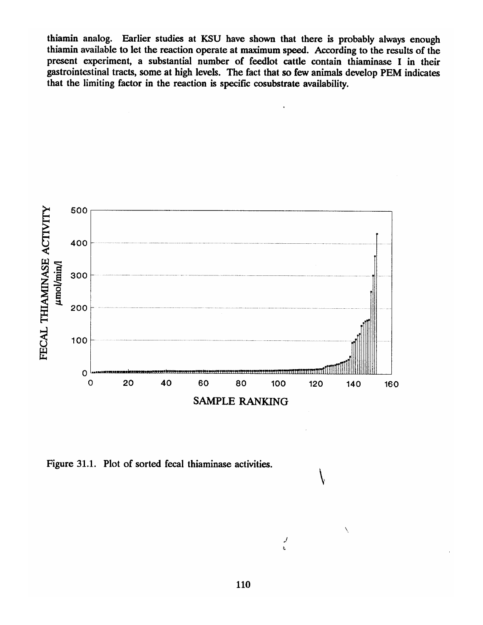thiamin analog. Earlier studies at KSU have shown that there is probably always enough thiamin available to let the reaction operate at maximum speed. According to the results of the present experiment, a substantial number of feedlot cattle contain thiaminase I in their gastrointestinal tracts, some at high levels. The fact that so few animals develop PEM indicates that the limiting factor in the reaction is specific cosubstrate availability.



Figure 31.1. Plot of sorted fecal thiaminase activities.

 $\frac{1}{2}$